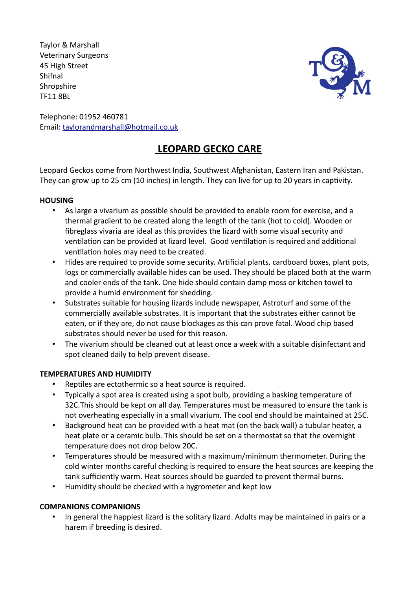Taylor & Marshall Veterinary Surgeons 45 High Street Shifnal **Shropshire** TF11 8BL



Telephone: 01952 460781 Email: taylorandmarshall@hotmail.co.uk

# **LEOPARD GECKO CARE**

Leopard Geckos come from Northwest India, Southwest Afghanistan, Eastern Iran and Pakistan. They can grow up to 25 cm (10 inches) in length. They can live for up to 20 years in captivity.

# **HOUSING**

- As large a vivarium as possible should be provided to enable room for exercise, and a thermal gradient to be created along the length of the tank (hot to cold). Wooden or fibreglass vivaria are ideal as this provides the lizard with some visual security and ventilation can be provided at lizard level. Good ventilation is required and additional ventilation holes may need to be created.
- Hides are required to provide some security. Artificial plants, cardboard boxes, plant pots, logs or commercially available hides can be used. They should be placed both at the warm and cooler ends of the tank. One hide should contain damp moss or kitchen towel to provide a humid environment for shedding.
- Substrates suitable for housing lizards include newspaper, Astroturf and some of the commercially available substrates. It is important that the substrates either cannot be eaten, or if they are, do not cause blockages as this can prove fatal. Wood chip based substrates should never be used for this reason.
- The vivarium should be cleaned out at least once a week with a suitable disinfectant and spot cleaned daily to help prevent disease.

# **TEMPERATURES AND HUMIDITY**

- Reptiles are ectothermic so a heat source is required.
- Typically a spot area is created using a spot bulb, providing a basking temperature of 32C.This should be kept on all day. Temperatures must be measured to ensure the tank is not overheating especially in a small vivarium. The cool end should be maintained at 25C.
- Background heat can be provided with a heat mat (on the back wall) a tubular heater, a heat plate or a ceramic bulb. This should be set on a thermostat so that the overnight temperature does not drop below 20C.
- Temperatures should be measured with a maximum/minimum thermometer. During the cold winter months careful checking is required to ensure the heat sources are keeping the tank sufficiently warm. Heat sources should be guarded to prevent thermal burns.
- Humidity should be checked with a hygrometer and kept low

# **COMPANIONS COMPANIONS**

• In general the happiest lizard is the solitary lizard. Adults may be maintained in pairs or a harem if breeding is desired.